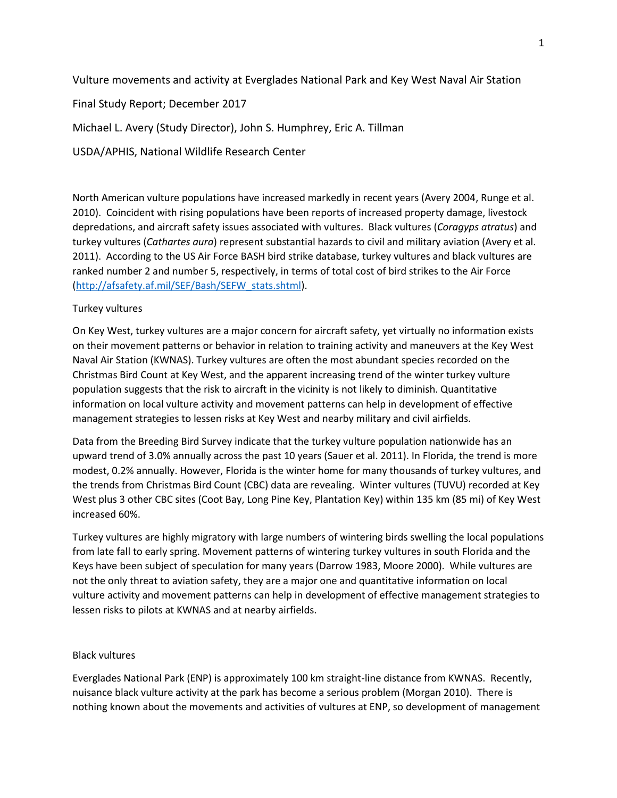Vulture movements and activity at Everglades National Park and Key West Naval Air Station

Final Study Report; December 2017

Michael L. Avery (Study Director), John S. Humphrey, Eric A. Tillman

USDA/APHIS, National Wildlife Research Center

North American vulture populations have increased markedly in recent years (Avery 2004, Runge et al. 2010). Coincident with rising populations have been reports of increased property damage, livestock depredations, and aircraft safety issues associated with vultures. Black vultures (*Coragyps atratus*) and turkey vultures (*Cathartes aura*) represent substantial hazards to civil and military aviation (Avery et al. 2011). According to the US Air Force BASH bird strike database, turkey vultures and black vultures are ranked number 2 and number 5, respectively, in terms of total cost of bird strikes to the Air Force [\(http://afsafety.af.mil/SEF/Bash/SEFW\\_stats.shtml\)](http://afsafety.af.mil/SEF/Bash/SEFW_stats.shtml).

## Turkey vultures

On Key West, turkey vultures are a major concern for aircraft safety, yet virtually no information exists on their movement patterns or behavior in relation to training activity and maneuvers at the Key West Naval Air Station (KWNAS). Turkey vultures are often the most abundant species recorded on the Christmas Bird Count at Key West, and the apparent increasing trend of the winter turkey vulture population suggests that the risk to aircraft in the vicinity is not likely to diminish. Quantitative information on local vulture activity and movement patterns can help in development of effective management strategies to lessen risks at Key West and nearby military and civil airfields.

Data from the Breeding Bird Survey indicate that the turkey vulture population nationwide has an upward trend of 3.0% annually across the past 10 years (Sauer et al. 2011). In Florida, the trend is more modest, 0.2% annually. However, Florida is the winter home for many thousands of turkey vultures, and the trends from Christmas Bird Count (CBC) data are revealing. Winter vultures (TUVU) recorded at Key West plus 3 other CBC sites (Coot Bay, Long Pine Key, Plantation Key) within 135 km (85 mi) of Key West increased 60%.

Turkey vultures are highly migratory with large numbers of wintering birds swelling the local populations from late fall to early spring. Movement patterns of wintering turkey vultures in south Florida and the Keys have been subject of speculation for many years (Darrow 1983, Moore 2000). While vultures are not the only threat to aviation safety, they are a major one and quantitative information on local vulture activity and movement patterns can help in development of effective management strategies to lessen risks to pilots at KWNAS and at nearby airfields.

## Black vultures

Everglades National Park (ENP) is approximately 100 km straight-line distance from KWNAS. Recently, nuisance black vulture activity at the park has become a serious problem (Morgan 2010). There is nothing known about the movements and activities of vultures at ENP, so development of management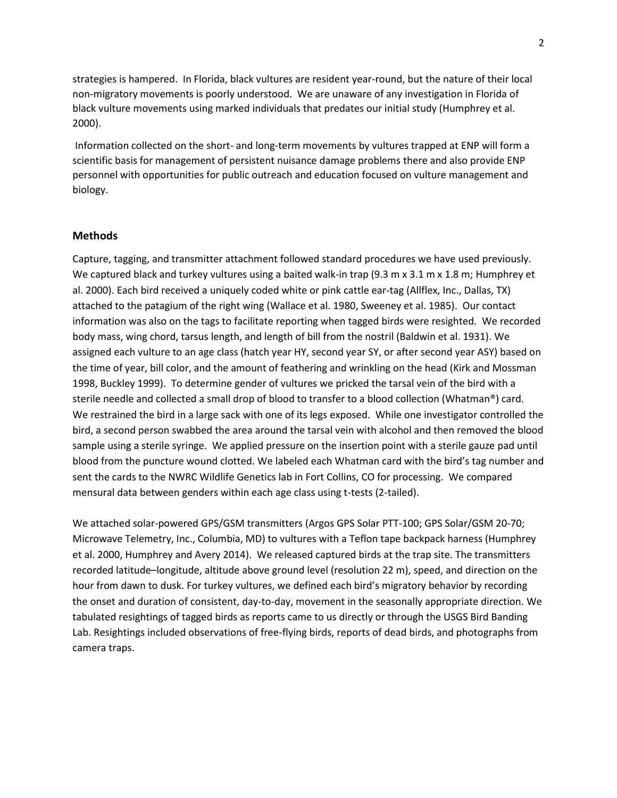strategies is hampered. In Florida, black vultures are resident year-round, but the nature of their local non-migratory movements is poorly understood. We are unaware of any investigation in Florida of black vulture movements using marked individuals that predates our initial study (Humphrey et al. 2000).

Information collected on the short- and long-term movements by vultures trapped at ENP will form a scientific basis for management of persistent nuisance damage problems there and also provide ENP personnel with opportunities for public outreach and education focused on vulture management and biology.

#### **Methods**

Capture, tagging, and transmitter attachment followed standard procedures we have used previously. We captured black and turkey vultures using a baited walk-in trap (9.3 m x 3.1 m x 1.8 m; Humphrey et al. 2000). Each bird received a uniquely coded white or pink cattle ear-tag (Allflex, Inc., Dallas, TX) attached to the patagium of the right wing (Wallace et al. 1980, Sweeney et al. 1985). Our contact information was also on the tags to facilitate reporting when tagged birds were resighted. We recorded body mass, wing chord, tarsus length, and length of bill from the nostril (Baldwin et al. 1931). We assigned each vulture to an age class (hatch year HY, second year SY, or after second year ASY) based on the time of year, bill color, and the amount of feathering and wrinkling on the head (Kirk and Mossman 1998, Buckley 1999). To determine gender of vultures we pricked the tarsal vein of the bird with a sterile needle and collected a small drop of blood to transfer to a blood collection (Whatman®) card. We restrained the bird in a large sack with one of its legs exposed. While one investigator controlled the bird, a second person swabbed the area around the tarsal vein with alcohol and then removed the blood sample using a sterile syringe. We applied pressure on the insertion point with a sterile gauze pad until blood from the puncture wound clotted. We labeled each Whatman card with the bird's tag number and sent the cards to the NWRC Wildlife Genetics lab in Fort Collins, CO for processing. We compared mensural data between genders within each age class using t-tests (2-tailed).

We attached solar-powered GPS/GSM transmitters (Argos GPS Solar PTT-100; GPS Solar/GSM 20-70; Microwave Telemetry, Inc., Columbia, MD) to vultures with a Teflon tape backpack harness (Humphrey et al. 2000, Humphrey and Avery 2014). We released captured birds at the trap site. The transmitters recorded latitude–longitude, altitude above ground level (resolution 22 m), speed, and direction on the hour from dawn to dusk. For turkey vultures, we defined each bird's migratory behavior by recording the onset and duration of consistent, day-to-day, movement in the seasonally appropriate direction. We tabulated resightings of tagged birds as reports came to us directly or through the USGS Bird Banding Lab. Resightings included observations of free-flying birds, reports of dead birds, and photographs from camera traps.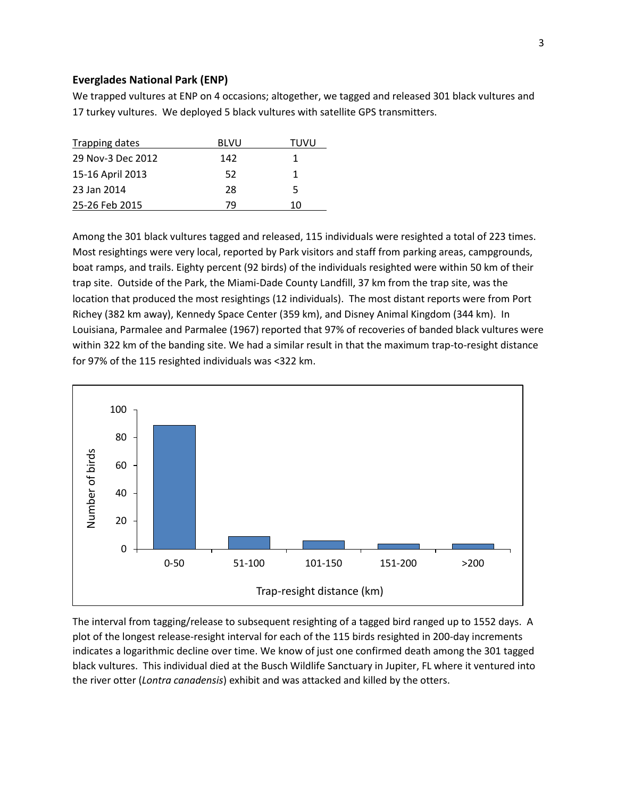#### **Everglades National Park (ENP)**

We trapped vultures at ENP on 4 occasions; altogether, we tagged and released 301 black vultures and 17 turkey vultures. We deployed 5 black vultures with satellite GPS transmitters.

| Trapping dates    | <b>BLVU</b> | TUVU |
|-------------------|-------------|------|
| 29 Nov-3 Dec 2012 | 142         |      |
| 15-16 April 2013  | 52          |      |
| 23 Jan 2014       | 28          | 5    |
| 25-26 Feb 2015    | 79          | 10   |

Among the 301 black vultures tagged and released, 115 individuals were resighted a total of 223 times. Most resightings were very local, reported by Park visitors and staff from parking areas, campgrounds, boat ramps, and trails. Eighty percent (92 birds) of the individuals resighted were within 50 km of their trap site. Outside of the Park, the Miami-Dade County Landfill, 37 km from the trap site, was the location that produced the most resightings (12 individuals). The most distant reports were from Port Richey (382 km away), Kennedy Space Center (359 km), and Disney Animal Kingdom (344 km). In Louisiana, Parmalee and Parmalee (1967) reported that 97% of recoveries of banded black vultures were within 322 km of the banding site. We had a similar result in that the maximum trap-to-resight distance for 97% of the 115 resighted individuals was <322 km.



The interval from tagging/release to subsequent resighting of a tagged bird ranged up to 1552 days. A plot of the longest release-resight interval for each of the 115 birds resighted in 200-day increments indicates a logarithmic decline over time. We know of just one confirmed death among the 301 tagged black vultures. This individual died at the Busch Wildlife Sanctuary in Jupiter, FL where it ventured into the river otter (*Lontra canadensis*) exhibit and was attacked and killed by the otters.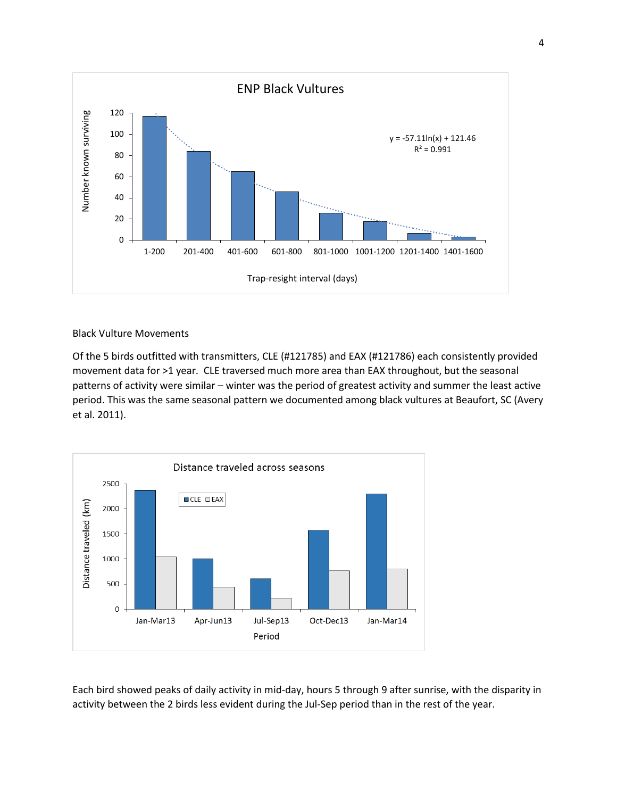

Black Vulture Movements

Of the 5 birds outfitted with transmitters, CLE (#121785) and EAX (#121786) each consistently provided movement data for >1 year. CLE traversed much more area than EAX throughout, but the seasonal patterns of activity were similar – winter was the period of greatest activity and summer the least active period. This was the same seasonal pattern we documented among black vultures at Beaufort, SC (Avery et al. 2011).



Each bird showed peaks of daily activity in mid-day, hours 5 through 9 after sunrise, with the disparity in activity between the 2 birds less evident during the Jul-Sep period than in the rest of the year.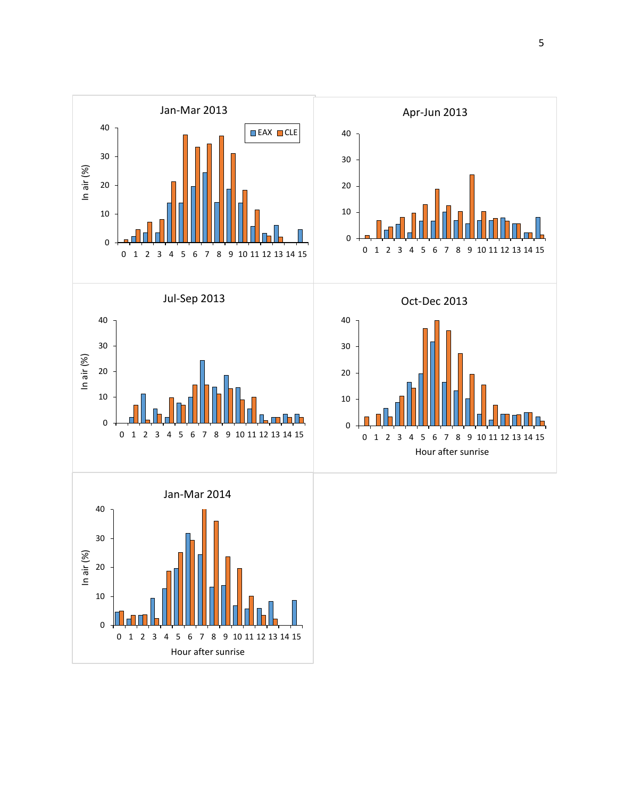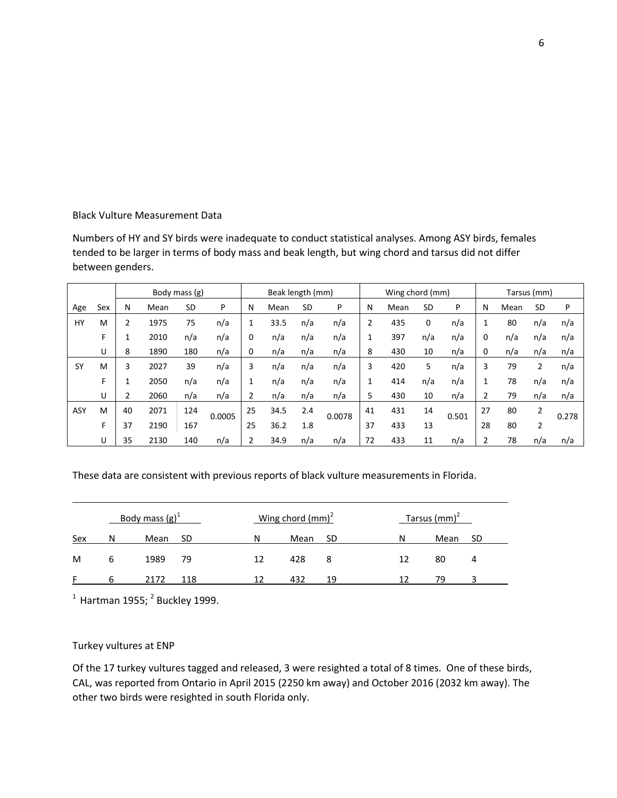## Black Vulture Measurement Data

Numbers of HY and SY birds were inadequate to conduct statistical analyses. Among ASY birds, females tended to be larger in terms of body mass and beak length, but wing chord and tarsus did not differ between genders.

|            |     |    |      | Body mass (g) |        | Beak length (mm) |      |           |        | Wing chord (mm) |      |     |       | Tarsus (mm) |      |                |       |
|------------|-----|----|------|---------------|--------|------------------|------|-----------|--------|-----------------|------|-----|-------|-------------|------|----------------|-------|
| Age        | Sex | N  | Mean | SD            | P      | N                | Mean | <b>SD</b> | P      | N               | Mean | SD  | P     | N           | Mean | <b>SD</b>      | P     |
| HY         | M   |    | 1975 | 75            | n/a    | 1                | 33.5 | n/a       | n/a    | 2               | 435  | 0   | n/a   | 1           | 80   | n/a            | n/a   |
|            | F   |    | 2010 | n/a           | n/a    | 0                | n/a  | n/a       | n/a    | 1               | 397  | n/a | n/a   | 0           | n/a  | n/a            | n/a   |
|            | U   | 8  | 1890 | 180           | n/a    | 0                | n/a  | n/a       | n/a    | 8               | 430  | 10  | n/a   | 0           | n/a  | n/a            | n/a   |
| <b>SY</b>  | M   | 3  | 2027 | 39            | n/a    | 3                | n/a  | n/a       | n/a    | 3               | 420  | 5   | n/a   | 3           | 79   | 2              | n/a   |
|            | F   |    | 2050 | n/a           | n/a    |                  | n/a  | n/a       | n/a    | 1               | 414  | n/a | n/a   |             | 78   | n/a            | n/a   |
|            | U   |    | 2060 | n/a           | n/a    | 2                | n/a  | n/a       | n/a    | 5.              | 430  | 10  | n/a   | 2           | 79   | n/a            | n/a   |
| <b>ASY</b> | M   | 40 | 2071 | 124           | 0.0005 | 25               | 34.5 | 2.4       | 0.0078 | 41              | 431  | 14  | 0.501 | 27          | 80   | 2              | 0.278 |
|            | F   | 37 | 2190 | 167           |        | 25               | 36.2 |           |        | 37              | 433  | 13  |       | 28          | 80   | $\overline{2}$ |       |
|            | U   | 35 | 2130 | 140           | n/a    |                  | 34.9 | n/a       | n/a    | 72              | 433  | 11  | n/a   | 2           | 78   | n/a            | n/a   |

These data are consistent with previous reports of black vulture measurements in Florida.

|     |   | Body mass $(g)^{\perp}$ |     |    | Wing chord $\text{(mm)}^2$ |    | Tarsus (mm) <sup>2</sup> |      |    |  |
|-----|---|-------------------------|-----|----|----------------------------|----|--------------------------|------|----|--|
| Sex | N | Mean                    | SD  | N  | Mean                       | SD | N                        | Mean | ŚD |  |
| M   |   | 1989                    | 79  | 12 | 428                        | 8  |                          | 80   |    |  |
|     | h | 2172                    | 118 |    | 432                        | 19 |                          | 79   |    |  |

 $^1$  Hartman 1955;  $^2$  Buckley 1999.

# Turkey vultures at ENP

Of the 17 turkey vultures tagged and released, 3 were resighted a total of 8 times. One of these birds, CAL, was reported from Ontario in April 2015 (2250 km away) and October 2016 (2032 km away). The other two birds were resighted in south Florida only.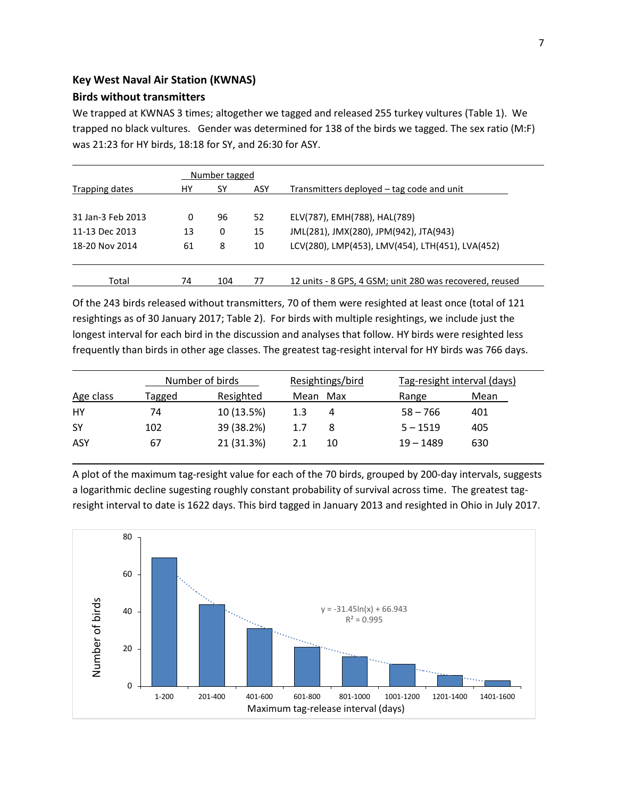## **Key West Naval Air Station (KWNAS)**

# **Birds without transmitters**

We trapped at KWNAS 3 times; altogether we tagged and released 255 turkey vultures (Table 1). We trapped no black vultures. Gender was determined for 138 of the birds we tagged. The sex ratio (M:F) was 21:23 for HY birds, 18:18 for SY, and 26:30 for ASY.

|                   |    | Number tagged |     |                                                         |
|-------------------|----|---------------|-----|---------------------------------------------------------|
| Trapping dates    | HY | SΥ            | ASY | Transmitters deployed – tag code and unit               |
|                   |    |               |     |                                                         |
| 31 Jan-3 Feb 2013 | 0  | 96            | 52  | ELV(787), EMH(788), HAL(789)                            |
| 11-13 Dec 2013    | 13 | 0             | 15  | JML(281), JMX(280), JPM(942), JTA(943)                  |
| 18-20 Nov 2014    | 61 | 8             | 10  | LCV(280), LMP(453), LMV(454), LTH(451), LVA(452)        |
|                   |    |               |     |                                                         |
|                   |    |               |     |                                                         |
| Total             | 74 | 104           | 77  | 12 units - 8 GPS, 4 GSM; unit 280 was recovered, reused |

Of the 243 birds released without transmitters, 70 of them were resighted at least once (total of 121 resightings as of 30 January 2017; Table 2). For birds with multiple resightings, we include just the longest interval for each bird in the discussion and analyses that follow. HY birds were resighted less frequently than birds in other age classes. The greatest tag-resight interval for HY birds was 766 days.

|           |        | Number of birds | Resightings/bird |             | Tag-resight interval (days) |  |  |  |
|-----------|--------|-----------------|------------------|-------------|-----------------------------|--|--|--|
| Age class | Tagged | Resighted       | Max<br>Mean      | Range       | Mean                        |  |  |  |
| HY        | 74     | 10 (13.5%)      | 1.3              | $58 - 766$  | 401                         |  |  |  |
| <b>SY</b> | 102    | 39 (38.2%)      | 1.7              | $5 - 1519$  | 405                         |  |  |  |
| ASY       | 67     | 21 (31.3%)      | 10<br>2.1        | $19 - 1489$ | 630                         |  |  |  |

A plot of the maximum tag-resight value for each of the 70 birds, grouped by 200-day intervals, suggests a logarithmic decline sugesting roughly constant probability of survival across time. The greatest tagresight interval to date is 1622 days. This bird tagged in January 2013 and resighted in Ohio in July 2017.

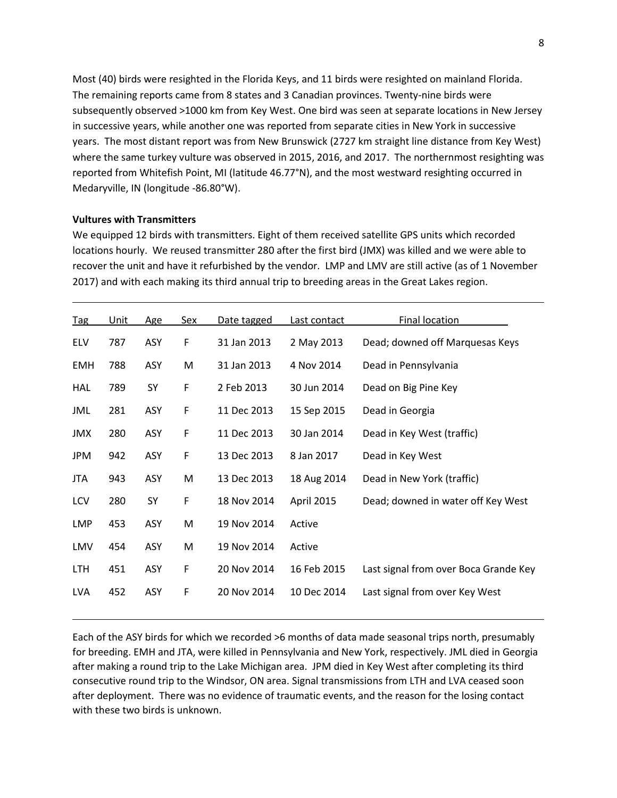Most (40) birds were resighted in the Florida Keys, and 11 birds were resighted on mainland Florida. The remaining reports came from 8 states and 3 Canadian provinces. Twenty-nine birds were subsequently observed >1000 km from Key West. One bird was seen at separate locations in New Jersey in successive years, while another one was reported from separate cities in New York in successive years. The most distant report was from New Brunswick (2727 km straight line distance from Key West) where the same turkey vulture was observed in 2015, 2016, and 2017. The northernmost resighting was reported from Whitefish Point, MI (latitude 46.77°N), and the most westward resighting occurred in Medaryville, IN (longitude -86.80°W).

#### **Vultures with Transmitters**

We equipped 12 birds with transmitters. Eight of them received satellite GPS units which recorded locations hourly. We reused transmitter 280 after the first bird (JMX) was killed and we were able to recover the unit and have it refurbished by the vendor. LMP and LMV are still active (as of 1 November 2017) and with each making its third annual trip to breeding areas in the Great Lakes region.

| Tag        | Unit | Age | Sex | Date tagged | Last contact | Final location                        |
|------------|------|-----|-----|-------------|--------------|---------------------------------------|
| <b>ELV</b> | 787  | ASY | F   | 31 Jan 2013 | 2 May 2013   | Dead; downed off Marquesas Keys       |
| EMH        | 788  | ASY | M   | 31 Jan 2013 | 4 Nov 2014   | Dead in Pennsylvania                  |
| <b>HAL</b> | 789  | SY  | F   | 2 Feb 2013  | 30 Jun 2014  | Dead on Big Pine Key                  |
| JML        | 281  | ASY | F   | 11 Dec 2013 | 15 Sep 2015  | Dead in Georgia                       |
| JMX        | 280  | ASY | F   | 11 Dec 2013 | 30 Jan 2014  | Dead in Key West (traffic)            |
| JPM        | 942  | ASY | F   | 13 Dec 2013 | 8 Jan 2017   | Dead in Key West                      |
| JTA        | 943  | ASY | M   | 13 Dec 2013 | 18 Aug 2014  | Dead in New York (traffic)            |
| LCV        | 280  | SY  | F   | 18 Nov 2014 | April 2015   | Dead; downed in water off Key West    |
| <b>LMP</b> | 453  | ASY | M   | 19 Nov 2014 | Active       |                                       |
| LMV        | 454  | ASY | M   | 19 Nov 2014 | Active       |                                       |
| LTH.       | 451  | ASY | F   | 20 Nov 2014 | 16 Feb 2015  | Last signal from over Boca Grande Key |
| LVA        | 452  | ASY | F   | 20 Nov 2014 | 10 Dec 2014  | Last signal from over Key West        |

Each of the ASY birds for which we recorded >6 months of data made seasonal trips north, presumably for breeding. EMH and JTA, were killed in Pennsylvania and New York, respectively. JML died in Georgia after making a round trip to the Lake Michigan area. JPM died in Key West after completing its third consecutive round trip to the Windsor, ON area. Signal transmissions from LTH and LVA ceased soon after deployment. There was no evidence of traumatic events, and the reason for the losing contact with these two birds is unknown.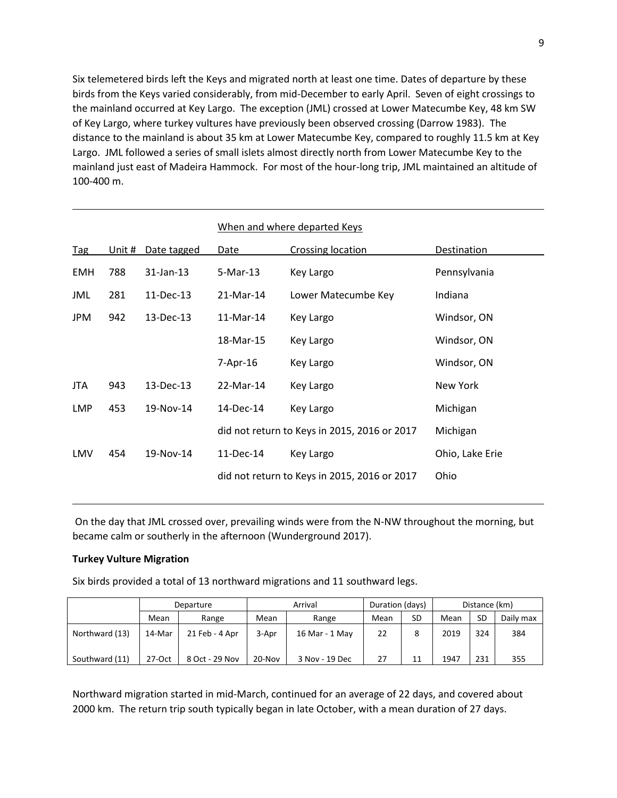Six telemetered birds left the Keys and migrated north at least one time. Dates of departure by these birds from the Keys varied considerably, from mid-December to early April. Seven of eight crossings to the mainland occurred at Key Largo. The exception (JML) crossed at Lower Matecumbe Key, 48 km SW of Key Largo, where turkey vultures have previously been observed crossing (Darrow 1983). The distance to the mainland is about 35 km at Lower Matecumbe Key, compared to roughly 11.5 km at Key Largo. JML followed a series of small islets almost directly north from Lower Matecumbe Key to the mainland just east of Madeira Hammock. For most of the hour-long trip, JML maintained an altitude of 100-400 m.

|            |        |             |            | When and where departed Keys                 |                 |
|------------|--------|-------------|------------|----------------------------------------------|-----------------|
| <b>Tag</b> | Unit # | Date tagged | Date       | <b>Crossing location</b>                     | Destination     |
| <b>EMH</b> | 788    | 31-Jan-13   | 5-Mar-13   | Key Largo                                    | Pennsylvania    |
| JML        | 281    | 11-Dec-13   | 21-Mar-14  | Lower Matecumbe Key                          | Indiana         |
| JPM        | 942    | 13-Dec-13   | 11-Mar-14  | Key Largo                                    | Windsor, ON     |
|            |        |             | 18-Mar-15  | Key Largo                                    | Windsor, ON     |
|            |        |             | $7-Apr-16$ | Key Largo                                    | Windsor, ON     |
| JTA.       | 943    | 13-Dec-13   | 22-Mar-14  | Key Largo                                    | New York        |
| LMP        | 453    | 19-Nov-14   | 14-Dec-14  | Key Largo                                    | Michigan        |
|            |        |             |            | did not return to Keys in 2015, 2016 or 2017 | Michigan        |
| LMV        | 454    | 19-Nov-14   | 11-Dec-14  | Key Largo                                    | Ohio, Lake Erie |
|            |        |             |            | did not return to Keys in 2015, 2016 or 2017 | Ohio            |

On the day that JML crossed over, prevailing winds were from the N-NW throughout the morning, but became calm or southerly in the afternoon (Wunderground 2017).

#### **Turkey Vulture Migration**

Six birds provided a total of 13 northward migrations and 11 southward legs.

|                |                            | Departure      |               | Arrival                 | Duration (days) |    | Distance (km) |           |           |
|----------------|----------------------------|----------------|---------------|-------------------------|-----------------|----|---------------|-----------|-----------|
|                | Mean                       | Range          | Mean<br>Range |                         | Mean            | SD | Mean          | <b>SD</b> | Daily max |
| Northward (13) | 14-Mar                     | 21 Feb - 4 Apr |               | 3-Apr<br>16 Mar - 1 May |                 | 22 |               | 324       | 384       |
| Southward (11) | $27-Oct$<br>8 Oct - 29 Nov |                | 20-Nov        | 3 Nov - 19 Dec          | 27              | 11 | 1947          | 231       | 355       |

Northward migration started in mid-March, continued for an average of 22 days, and covered about 2000 km. The return trip south typically began in late October, with a mean duration of 27 days.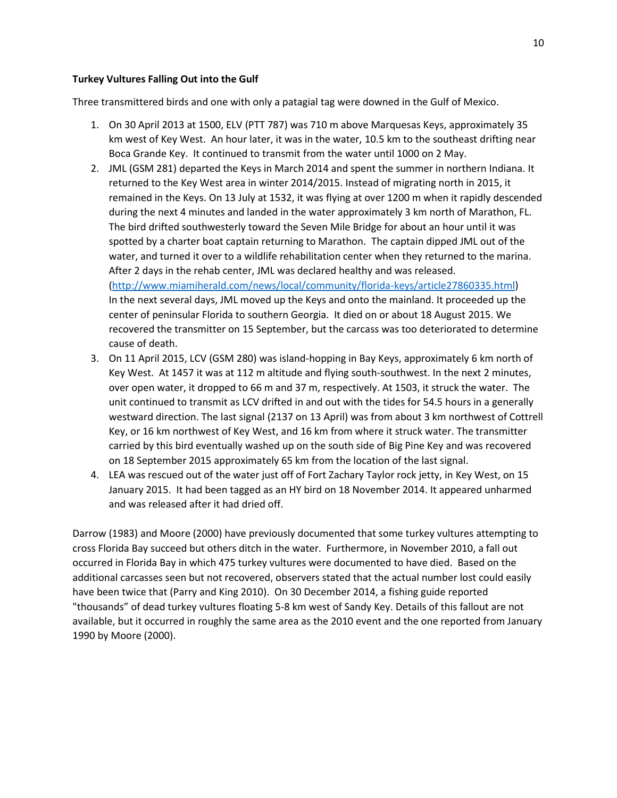## **Turkey Vultures Falling Out into the Gulf**

Three transmittered birds and one with only a patagial tag were downed in the Gulf of Mexico.

- 1. On 30 April 2013 at 1500, ELV (PTT 787) was 710 m above Marquesas Keys, approximately 35 km west of Key West. An hour later, it was in the water, 10.5 km to the southeast drifting near Boca Grande Key. It continued to transmit from the water until 1000 on 2 May.
- 2. JML (GSM 281) departed the Keys in March 2014 and spent the summer in northern Indiana. It returned to the Key West area in winter 2014/2015. Instead of migrating north in 2015, it remained in the Keys. On 13 July at 1532, it was flying at over 1200 m when it rapidly descended during the next 4 minutes and landed in the water approximately 3 km north of Marathon, FL. The bird drifted southwesterly toward the Seven Mile Bridge for about an hour until it was spotted by a charter boat captain returning to Marathon. The captain dipped JML out of the water, and turned it over to a wildlife rehabilitation center when they returned to the marina. After 2 days in the rehab center, JML was declared healthy and was released. [\(http://www.miamiherald.com/news/local/community/florida-keys/article27860335.html\)](http://www.miamiherald.com/news/local/community/florida-keys/article27860335.html) In the next several days, JML moved up the Keys and onto the mainland. It proceeded up the center of peninsular Florida to southern Georgia. It died on or about 18 August 2015. We

recovered the transmitter on 15 September, but the carcass was too deteriorated to determine cause of death.

- 3. On 11 April 2015, LCV (GSM 280) was island-hopping in Bay Keys, approximately 6 km north of Key West. At 1457 it was at 112 m altitude and flying south-southwest. In the next 2 minutes, over open water, it dropped to 66 m and 37 m, respectively. At 1503, it struck the water. The unit continued to transmit as LCV drifted in and out with the tides for 54.5 hours in a generally westward direction. The last signal (2137 on 13 April) was from about 3 km northwest of Cottrell Key, or 16 km northwest of Key West, and 16 km from where it struck water. The transmitter carried by this bird eventually washed up on the south side of Big Pine Key and was recovered on 18 September 2015 approximately 65 km from the location of the last signal.
- 4. LEA was rescued out of the water just off of Fort Zachary Taylor rock jetty, in Key West, on 15 January 2015. It had been tagged as an HY bird on 18 November 2014. It appeared unharmed and was released after it had dried off.

Darrow (1983) and Moore (2000) have previously documented that some turkey vultures attempting to cross Florida Bay succeed but others ditch in the water. Furthermore, in November 2010, a fall out occurred in Florida Bay in which 475 turkey vultures were documented to have died. Based on the additional carcasses seen but not recovered, observers stated that the actual number lost could easily have been twice that (Parry and King 2010). On 30 December 2014, a fishing guide reported "thousands" of dead turkey vultures floating 5-8 km west of Sandy Key. Details of this fallout are not available, but it occurred in roughly the same area as the 2010 event and the one reported from January 1990 by Moore (2000).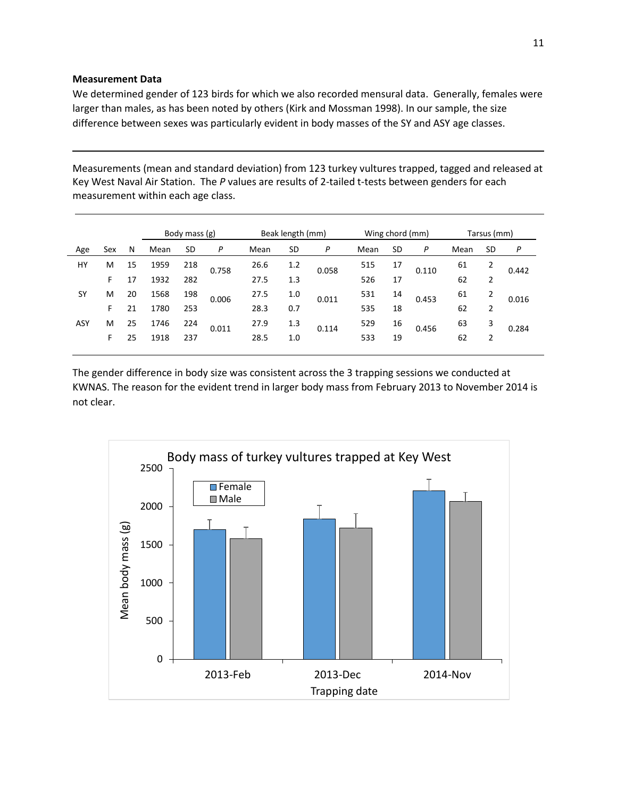#### **Measurement Data**

We determined gender of 123 birds for which we also recorded mensural data. Generally, females were larger than males, as has been noted by others (Kirk and Mossman 1998). In our sample, the size difference between sexes was particularly evident in body masses of the SY and ASY age classes.

Measurements (mean and standard deviation) from 123 turkey vultures trapped, tagged and released at Key West Naval Air Station. The *P* values are results of 2-tailed t-tests between genders for each measurement within each age class.

|           |     |    |      | Body mass (g) |       | Beak length (mm) |     |       |      | Wing chord (mm) |       | Tarsus (mm) |           |       |
|-----------|-----|----|------|---------------|-------|------------------|-----|-------|------|-----------------|-------|-------------|-----------|-------|
| Age       | Sex | N  | Mean | SD            | P     | Mean             | SD  | P     | Mean | SD              | P     | Mean        | <b>SD</b> | P     |
| HY        | M   | 15 | 1959 | 218           | 0.758 | 26.6             | 1.2 | 0.058 | 515  | 17              | 0.110 | 61          | 2         | 0.442 |
|           | F   | 17 | 1932 | 282           |       | 27.5             | 1.3 |       | 526  | 17              |       | 62          | 2         |       |
| <b>SY</b> | M   | 20 | 1568 | 198           | 0.006 | 27.5             | 1.0 | 0.011 | 531  | 14              | 0.453 | 61          | 2         | 0.016 |
|           | F.  | 21 | 1780 | 253           |       | 28.3             | 0.7 |       | 535  | 18              |       | 62          | 2         |       |
| ASY       | M   | 25 | 1746 | 224           | 0.011 | 27.9             | 1.3 | 0.114 | 529  | 16              | 0.456 | 63          | 3         | 0.284 |
|           | F   | 25 | 1918 | 237           |       | 28.5             | 1.0 |       | 533  | 19              |       | 62          | 2         |       |
|           |     |    |      |               |       |                  |     |       |      |                 |       |             |           |       |

The gender difference in body size was consistent across the 3 trapping sessions we conducted at KWNAS. The reason for the evident trend in larger body mass from February 2013 to November 2014 is not clear.

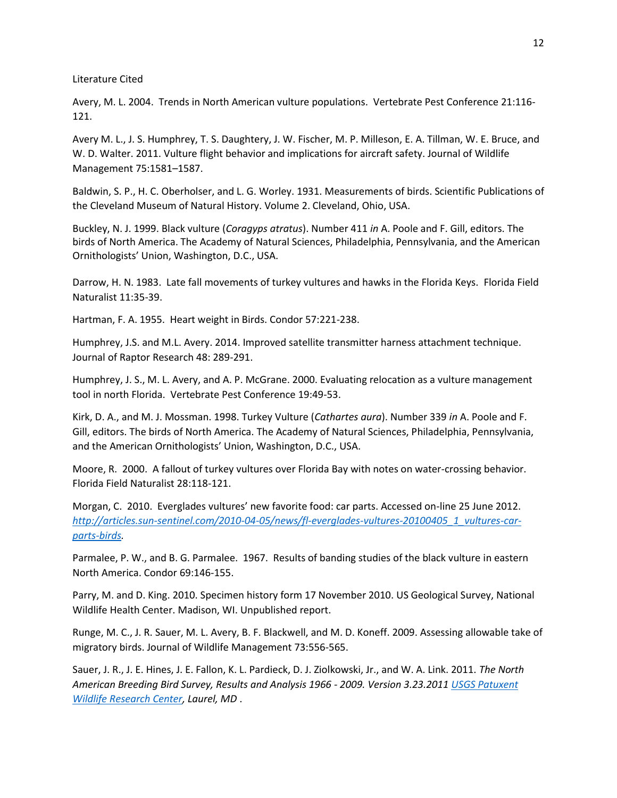Literature Cited

Avery, M. L. 2004. Trends in North American vulture populations. Vertebrate Pest Conference 21:116- 121.

Avery M. L., J. S. Humphrey, T. S. Daughtery, J. W. Fischer, M. P. Milleson, E. A. Tillman, W. E. Bruce, and W. D. Walter. 2011. Vulture flight behavior and implications for aircraft safety. Journal of Wildlife Management 75:1581–1587.

Baldwin, S. P., H. C. Oberholser, and L. G. Worley. 1931. Measurements of birds. Scientific Publications of the Cleveland Museum of Natural History. Volume 2. Cleveland, Ohio, USA.

Buckley, N. J. 1999. Black vulture (*Coragyps atratus*). Number 411 *in* A. Poole and F. Gill, editors. The birds of North America. The Academy of Natural Sciences, Philadelphia, Pennsylvania, and the American Ornithologists' Union, Washington, D.C., USA.

Darrow, H. N. 1983. Late fall movements of turkey vultures and hawks in the Florida Keys.Florida Field Naturalist 11:35-39.

Hartman, F. A. 1955. Heart weight in Birds. Condor 57:221-238.

Humphrey, J.S. and M.L. Avery. 2014. [Improved satellite transmitter harness attachment technique.](https://www.aphis.usda.gov/wildlife_damage/nwrc/publications/14pubs/14-074%20humphrey.pdf) Journal of Raptor Research 48: 289-291.

Humphrey, J. S., M. L. Avery, and A. P. McGrane. 2000. Evaluating relocation as a vulture management tool in north Florida. Vertebrate Pest Conference 19:49-53.

Kirk, D. A., and M. J. Mossman. 1998. Turkey Vulture (*Cathartes aura*). Number 339 *in* A. Poole and F. Gill, editors. The birds of North America. The Academy of Natural Sciences, Philadelphia, Pennsylvania, and the American Ornithologists' Union, Washington, D.C., USA.

Moore, R. 2000. A fallout of turkey vultures over Florida Bay with notes on water-crossing behavior. Florida Field Naturalist 28:118-121.

Morgan, C. 2010. Everglades vultures' new favorite food: car parts. Accessed on-line 25 June 2012. *[http://articles.sun-sentinel.com/2010-04-05/news/fl-everglades-vultures-20100405\\_1\\_vultures-car](http://articles.sun-sentinel.com/2010-04-05/news/fl-everglades-vultures-20100405_1_vultures-car-parts-birds)[parts-birds.](http://articles.sun-sentinel.com/2010-04-05/news/fl-everglades-vultures-20100405_1_vultures-car-parts-birds)*

Parmalee, P. W., and B. G. Parmalee. 1967. Results of banding studies of the black vulture in eastern North America. Condor 69:146-155.

Parry, M. and D. King. 2010. Specimen history form 17 November 2010. US Geological Survey, National Wildlife Health Center. Madison, WI. Unpublished report.

Runge, M. C., J. R. Sauer, M. L. Avery, B. F. Blackwell, and M. D. Koneff. 2009. Assessing allowable take of migratory birds. Journal of Wildlife Management 73:556-565.

Sauer, J. R., J. E. Hines, J. E. Fallon, K. L. Pardieck, D. J. Ziolkowski, Jr., and W. A. Link. 2011. *The North American Breeding Bird Survey, Results and Analysis 1966 - 2009. Version 3.23.2011 [USGS Patuxent](http://www.pwrc.usgs.gov/)  [Wildlife Research Center,](http://www.pwrc.usgs.gov/) Laurel, MD* .